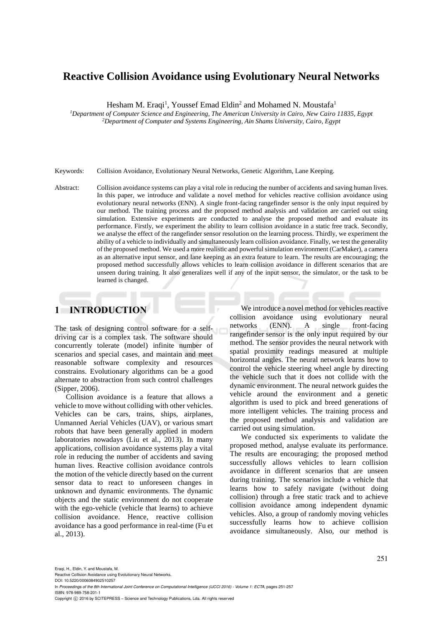# **Reactive Collision Avoidance using Evolutionary Neural Networks**

Hesham M. Eraqi<sup>1</sup>, Youssef Emad Eldin<sup>2</sup> and Mohamed N. Moustafa<sup>1</sup>

*<sup>1</sup>Department of Computer Science and Engineering, The American University in Cairo, New Cairo 11835, Egypt <sup>2</sup>Department of Computer and Systems Engineering, Ain Shams University, Cairo, Egypt* 

Keywords: Collision Avoidance, Evolutionary Neural Networks, Genetic Algorithm, Lane Keeping.

Abstract: Collision avoidance systems can play a vital role in reducing the number of accidents and saving human lives. In this paper, we introduce and validate a novel method for vehicles reactive collision avoidance using evolutionary neural networks (ENN). A single front-facing rangefinder sensor is the only input required by our method. The training process and the proposed method analysis and validation are carried out using simulation. Extensive experiments are conducted to analyse the proposed method and evaluate its performance. Firstly, we experiment the ability to learn collision avoidance in a static free track. Secondly, we analyse the effect of the rangefinder sensor resolution on the learning process. Thirdly, we experiment the ability of a vehicle to individually and simultaneously learn collision avoidance. Finally, we test the generality of the proposed method. We used a more realistic and powerful simulation environment (CarMaker), a camera as an alternative input sensor, and lane keeping as an extra feature to learn. The results are encouraging; the proposed method successfully allows vehicles to learn collision avoidance in different scenarios that are unseen during training. It also generalizes well if any of the input sensor, the simulator, or the task to be learned is changed.

# **1 INTRODUCTION**

The task of designing control software for a selfdriving car is a complex task. The software should concurrently tolerate (model) infinite number of scenarios and special cases, and maintain and meet reasonable software complexity and resources constrains. Evolutionary algorithms can be a good alternate to abstraction from such control challenges (Sipper, 2006).

Collision avoidance is a feature that allows a vehicle to move without colliding with other vehicles. Vehicles can be cars, trains, ships, airplanes, Unmanned Aerial Vehicles (UAV), or various smart robots that have been generally applied in modern laboratories nowadays (Liu et al., 2013). In many applications, collision avoidance systems play a vital role in reducing the number of accidents and saving human lives. Reactive collision avoidance controls the motion of the vehicle directly based on the current sensor data to react to unforeseen changes in unknown and dynamic environments. The dynamic objects and the static environment do not cooperate with the ego-vehicle (vehicle that learns) to achieve collision avoidance. Hence, reactive collision avoidance has a good performance in real-time (Fu et al., 2013).

We introduce a novel method for vehicles reactive collision avoidance using evolutionary neural networks (ENN). A single front-facing rangefinder sensor is the only input required by our method. The sensor provides the neural network with spatial proximity readings measured at multiple horizontal angles. The neural network learns how to control the vehicle steering wheel angle by directing the vehicle such that it does not collide with the dynamic environment. The neural network guides the vehicle around the environment and a genetic algorithm is used to pick and breed generations of more intelligent vehicles. The training process and the proposed method analysis and validation are carried out using simulation.

We conducted six experiments to validate the proposed method, analyse evaluate its performance. The results are encouraging; the proposed method successfully allows vehicles to learn collision avoidance in different scenarios that are unseen during training. The scenarios include a vehicle that learns how to safely navigate (without doing collision) through a free static track and to achieve collision avoidance among independent dynamic vehicles. Also, a group of randomly moving vehicles successfully learns how to achieve collision avoidance simultaneously. Also, our method is

In *Proceedings of the 8th International Joint Conference on Computational Intelligence (IJCCI 2016) - Volume 1: ECTA*, pages 251-257 ISBN: 978-989-758-201-1

Copyright © 2016 by SCITEPRESS - Science and Technology Publications, Lda. All rights reserved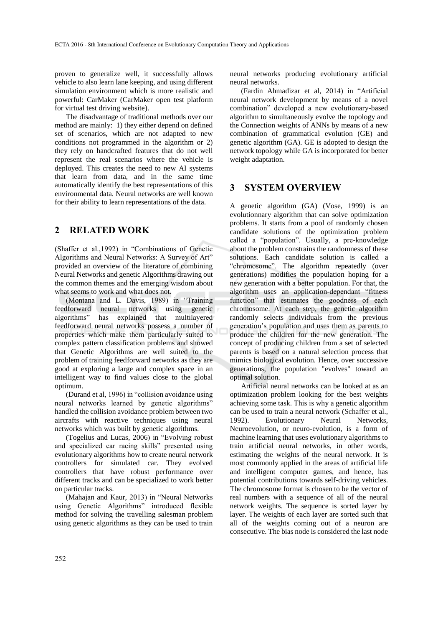proven to generalize well, it successfully allows vehicle to also learn lane keeping, and using different simulation environment which is more realistic and powerful: CarMaker (CarMaker open test platform for virtual test driving website).

The disadvantage of traditional methods over our method are mainly: 1) they either depend on defined set of scenarios, which are not adapted to new conditions not programmed in the algorithm or 2) they rely on handcrafted features that do not well represent the real scenarios where the vehicle is deployed. This creates the need to new AI systems that learn from data, and in the same time automatically identify the best representations of this environmental data. Neural networks are well known for their ability to learn representations of the data.

# **2 RELATED WORK**

(Shaffer et al.,1992) in "Combinations of Genetic Algorithms and Neural Networks: A Survey of Art" provided an overview of the literature of combining Neural Networks and genetic Algorithms drawing out the common themes and the emerging wisdom about what seems to work and what does not.

(Montana and L. Davis, 1989) in "Training feedforward neural networks using genetic algorithms" has explained that multilayered feedforward neural networks possess a number of properties which make them particularly suited to complex pattern classification problems and showed that Genetic Algorithms are well suited to the problem of training feedforward networks as they are good at exploring a large and complex space in an intelligent way to find values close to the global optimum.

(Durand et al, 1996) in "collision avoidance using neural networks learned by genetic algorithms" handled the collision avoidance problem between two aircrafts with reactive techniques using neural networks which was built by genetic algorithms.

(Togelius and Lucas, 2006) in "Evolving robust and specialized car racing skills" presented using evolutionary algorithms how to create neural network controllers for simulated car. They evolved controllers that have robust performance over different tracks and can be specialized to work better on particular tracks.

(Mahajan and Kaur, 2013) in "Neural Networks using Genetic Algorithms" introduced flexible method for solving the travelling salesman problem using genetic algorithms as they can be used to train

neural networks producing evolutionary artificial neural networks.

(Fardin Ahmadizar et al, 2014) in "Artificial neural network development by means of a novel combination" developed a new evolutionary-based algorithm to simultaneously evolve the topology and the Connection weights of ANNs by means of a new combination of grammatical evolution (GE) and genetic algorithm (GA). GE is adopted to design the network topology while GA is incorporated for better weight adaptation.

## **3 SYSTEM OVERVIEW**

A genetic algorithm (GA) (Vose, 1999) is an evolutionnary algorithm that can solve optimization problems. It starts from a pool of randomly chosen candidate solutions of the optimization problem called a "population". Usually, a pre-knowledge about the problem constrains the randomness of these solutions. Each candidate solution is called a "chromosome". The algorithm repeatedly (over generations) modifies the population hoping for a new generation with a better population. For that, the algorithm uses an application-dependant "fitness function" that estimates the goodness of each chromosome. At each step, the genetic algorithm randomly selects individuals from the previous generation's population and uses them as parents to produce the children for the new generation. The concept of producing children from a set of selected parents is based on a natural selection process that mimics biological evolution. Hence, over successive generations, the population "evolves" toward an optimal solution.

Artificial neural networks can be looked at as an optimization problem looking for the best weights achieving some task. This is why a genetic algorithm can be used to train a neural network (Schaffer et al., 1992). Evolutionary Neural Networks, Neuroevolution, or neuro-evolution, is a form of machine learning that uses evolutionary algorithms to train artificial neural networks, in other words, estimating the weights of the neural network. It is most commonly applied in the areas of artificial life and intelligent computer games, and hence, has potential contributions towards self-driving vehicles. The chromosome format is chosen to be the vector of real numbers with a sequence of all of the neural network weights. The sequence is sorted layer by layer. The weights of each layer are sorted such that all of the weights coming out of a neuron are consecutive. The bias node is considered the last node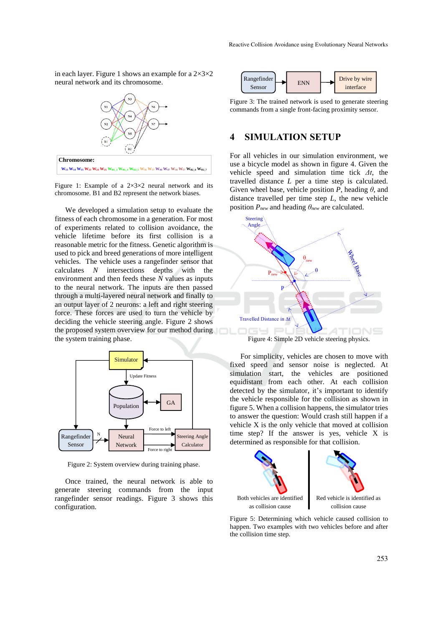in each layer. Figure 1 shows an example for a  $2\times3\times2$ neural network and its chromosome.



Figure 1: Example of a  $2\times3\times2$  neural network and its chromosome. B1 and B2 represent the network biases.

We developed a simulation setup to evaluate the fitness of each chromosome in a generation. For most of experiments related to collision avoidance, the vehicle lifetime before its first collision is a reasonable metric for the fitness. Genetic algorithm is used to pick and breed generations of more intelligent vehicles. The vehicle uses a rangefinder sensor that calculates *N* intersections depths with the environment and then feeds these *N* values as inputs to the neural network. The inputs are then passed through a multi-layered neural network and finally to an output layer of 2 neurons: a left and right steering force. These forces are used to turn the vehicle by deciding the vehicle steering angle. Figure 2 shows the proposed system overview for our method during the system training phase.



Figure 2: System overview during training phase.

Once trained, the neural network is able to generate steering commands from the input rangefinder sensor readings. Figure 3 shows this configuration.



Figure 3: The trained network is used to generate steering commands from a single front-facing proximity sensor.

# **4 SIMULATION SETUP**

For all vehicles in our simulation environment, we use a bicycle model as shown in figure 4. Given the vehicle speed and simulation time tick *Δt*, the travelled distance *L* per a time step is calculated. Given wheel base, vehicle position *P*, heading *θ*, and distance travelled per time step *L*, the new vehicle position *Pnew* and heading *θnew* are calculated.



Figure 4: Simple 2D vehicle steering physics.

For simplicity, vehicles are chosen to move with fixed speed and sensor noise is neglected. At simulation start, the vehicles are positioned equidistant from each other. At each collision detected by the simulator, it's important to identify the vehicle responsible for the collision as shown in figure 5. When a collision happens, the simulator tries to answer the question: Would crash still happen if a vehicle X is the only vehicle that moved at collision time step? If the answer is yes, vehicle X is determined as responsible for that collision.



Figure 5: Determining which vehicle caused collision to happen. Two examples with two vehicles before and after the collision time step.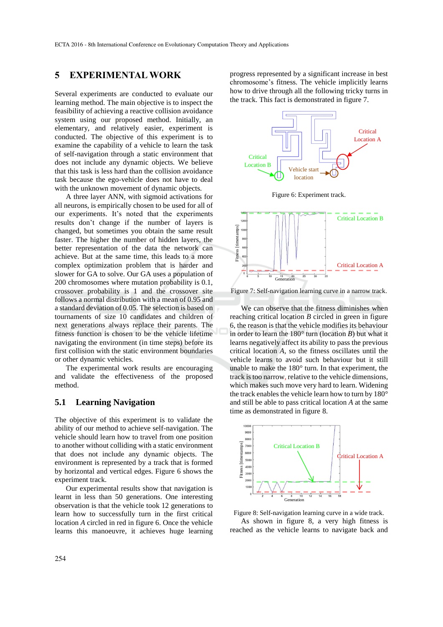# **5 EXPERIMENTAL WORK**

Several experiments are conducted to evaluate our learning method. The main objective is to inspect the feasibility of achieving a reactive collision avoidance system using our proposed method. Initially, an elementary, and relatively easier, experiment is conducted. The objective of this experiment is to examine the capability of a vehicle to learn the task of self-navigation through a static environment that does not include any dynamic objects. We believe that this task is less hard than the collision avoidance task because the ego-vehicle does not have to deal with the unknown movement of dynamic objects.

A three layer ANN, with sigmoid activations for all neurons, is empirically chosen to be used for all of our experiments. It's noted that the experiments results don't change if the number of layers is changed, but sometimes you obtain the same result faster. The higher the number of hidden layers, the better representation of the data the network can achieve. But at the same time, this leads to a more complex optimization problem that is harder and slower for GA to solve. Our GA uses a population of 200 chromosomes where mutation probability is 0.1, crossover probability is 1 and the crossover site follows a normal distribution with a mean of 0.95 and a standard deviation of 0.05. The selection is based on tournaments of size 10 candidates and children of next generations always replace their parents. The fitness function is chosen to be the vehicle lifetime navigating the environment (in time steps) before its first collision with the static environment boundaries or other dynamic vehicles.

The experimental work results are encouraging and validate the effectiveness of the proposed method.

### **5.1 Learning Navigation**

The objective of this experiment is to validate the ability of our method to achieve self-navigation. The vehicle should learn how to travel from one position to another without colliding with a static environment that does not include any dynamic objects. The environment is represented by a track that is formed by horizontal and vertical edges. Figure 6 shows the experiment track.

Our experimental results show that navigation is learnt in less than 50 generations. One interesting observation is that the vehicle took 12 generations to learn how to successfully turn in the first critical location *A* circled in red in figure 6. Once the vehicle learns this manoeuvre, it achieves huge learning progress represented by a significant increase in best chromosome's fitness. The vehicle implicitly learns how to drive through all the following tricky turns in the track. This fact is demonstrated in figure 7.



Figure 6: Experiment track.



Figure 7: Self-navigation learning curve in a narrow track.

We can observe that the fitness diminishes when reaching critical location *B* circled in green in figure 6, the reason is that the vehicle modifies its behaviour in order to learn the 180° turn (location *B*) but what it learns negatively affect its ability to pass the previous critical location *A*, so the fitness oscillates until the vehicle learns to avoid such behaviour but it still unable to make the 180° turn. In that experiment, the track is too narrow, relative to the vehicle dimensions, which makes such move very hard to learn. Widening the track enables the vehicle learn how to turn by 180° and still be able to pass critical location *A* at the same time as demonstrated in figure 8.



Figure 8: Self-navigation learning curve in a wide track. As shown in figure 8, a very high fitness is reached as the vehicle learns to navigate back and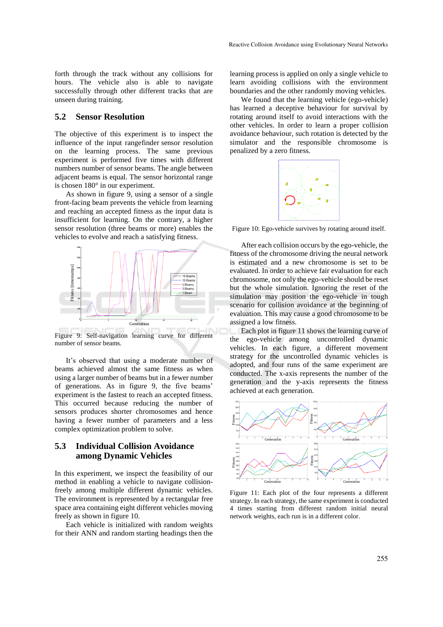forth through the track without any collisions for hours. The vehicle also is able to navigate successfully through other different tracks that are unseen during training.

#### **5.2 Sensor Resolution**

The objective of this experiment is to inspect the influence of the input rangefinder sensor resolution on the learning process. The same previous experiment is performed five times with different numbers number of sensor beams. The angle between adjacent beams is equal. The sensor horizontal range is chosen 180° in our experiment.

As shown in figure 9, using a sensor of a single front-facing beam prevents the vehicle from learning and reaching an accepted fitness as the input data is insufficient for learning. On the contrary, a higher sensor resolution (three beams or more) enables the vehicles to evolve and reach a satisfying fitness.



Figure 9: Self-navigation learning curve for different number of sensor beams.

It's observed that using a moderate number of beams achieved almost the same fitness as when using a larger number of beams but in a fewer number of generations. As in figure 9, the five beams' experiment is the fastest to reach an accepted fitness. This occurred because reducing the number of sensors produces shorter chromosomes and hence having a fewer number of parameters and a less complex optimization problem to solve.

## **5.3 Individual Collision Avoidance among Dynamic Vehicles**

In this experiment, we inspect the feasibility of our method in enabling a vehicle to navigate collisionfreely among multiple different dynamic vehicles. The environment is represented by a rectangular free space area containing eight different vehicles moving freely as shown in figure 10.

Each vehicle is initialized with random weights for their ANN and random starting headings then the

learning process is applied on only a single vehicle to learn avoiding collisions with the environment boundaries and the other randomly moving vehicles.

We found that the learning vehicle (ego-vehicle) has learned a deceptive behaviour for survival by rotating around itself to avoid interactions with the other vehicles. In order to learn a proper collision avoidance behaviour, such rotation is detected by the simulator and the responsible chromosome is penalized by a zero fitness.



Figure 10: Ego-vehicle survives by rotating around itself.

After each collision occurs by the ego-vehicle, the fitness of the chromosome driving the neural network is estimated and a new chromosome is set to be evaluated. In order to achieve fair evaluation for each chromosome, not only the ego-vehicle should be reset but the whole simulation. Ignoring the reset of the simulation may position the ego-vehicle in tough scenario for collision avoidance at the beginning of evaluation. This may cause a good chromosome to be assigned a low fitness.

Each plot in figure 11 shows the learning curve of the ego-vehicle among uncontrolled dynamic vehicles. In each figure, a different movement strategy for the uncontrolled dynamic vehicles is adopted, and four runs of the same experiment are conducted. The x-axis represents the number of the generation and the y-axis represents the fitness achieved at each generation.



Figure 11: Each plot of the four represents a different strategy. In each strategy, the same experiment is conducted 4 times starting from different random initial neural network weights, each run is in a different color.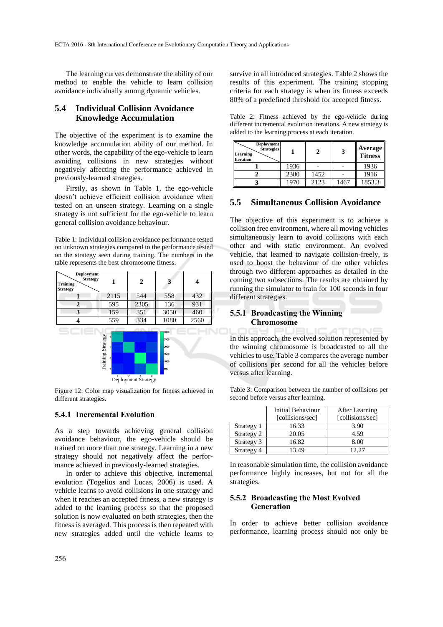The learning curves demonstrate the ability of our method to enable the vehicle to learn collision avoidance individually among dynamic vehicles.

### **5.4 Individual Collision Avoidance Knowledge Accumulation**

The objective of the experiment is to examine the knowledge accumulation ability of our method. In other words, the capability of the ego-vehicle to learn avoiding collisions in new strategies without negatively affecting the performance achieved in previously-learned strategies.

Firstly, as shown in Table 1, the ego-vehicle doesn't achieve efficient collision avoidance when tested on an unseen strategy. Learning on a single strategy is not sufficient for the ego-vehicle to learn general collision avoidance behaviour.

Table 1: Individual collision avoidance performance tested on unknown strategies compared to the performance tested on the strategy seen during training. The numbers in the table represents the best chromosome fitness.



Figure 12: Color map visualization for fitness achieved in different strategies.

#### **5.4.1 Incremental Evolution**

As a step towards achieving general collision avoidance behaviour, the ego-vehicle should be trained on more than one strategy. Learning in a new strategy should not negatively affect the performance achieved in previously-learned strategies.

In order to achieve this objective, incremental evolution (Togelius and Lucas, 2006) is used. A vehicle learns to avoid collisions in one strategy and when it reaches an accepted fitness, a new strategy is added to the learning process so that the proposed solution is now evaluated on both strategies, then the fitness is averaged. This process is then repeated with new strategies added until the vehicle learns to

survive in all introduced strategies. Table 2 shows the results of this experiment. The training stopping criteria for each strategy is when its fitness exceeds 80% of a predefined threshold for accepted fitness.

Table 2: Fitness achieved by the ego-vehicle during different incremental evolution iterations. A new strategy is added to the learning process at each iteration.

| <b>Deployment</b><br><b>Strategies</b><br>Learning<br><b>Iteration</b> |      | 2    |      | Average<br><b>Fitness</b> |
|------------------------------------------------------------------------|------|------|------|---------------------------|
|                                                                        | 1936 |      |      | 1936                      |
|                                                                        | 2380 | 1452 |      | 1916                      |
|                                                                        | 1970 | 2123 | 1467 | 1853.3                    |

#### **5.5 Simultaneous Collision Avoidance**

The objective of this experiment is to achieve a collision free environment, where all moving vehicles simultaneously learn to avoid collisions with each other and with static environment. An evolved vehicle, that learned to navigate collision-freely, is used to boost the behaviour of the other vehicles through two different approaches as detailed in the coming two subsections. The results are obtained by running the simulator to train for 100 seconds in four different strategies.

#### **5.5.1 Broadcasting the Winning Chromosome**

In this approach, the evolved solution represented by the winning chromosome is broadcasted to all the vehicles to use. Table 3 compares the average number of collisions per second for all the vehicles before versus after learning.

Table 3: Comparison between the number of collisions per second before versus after learning.

|            | Initial Behaviour<br>[collisions/sec] | After Learning<br>[collisions/sec] |
|------------|---------------------------------------|------------------------------------|
| Strategy 1 | 16.33                                 | 3.90                               |
| Strategy 2 | 20.05                                 | 4.59                               |
| Strategy 3 | 16.82                                 | 8.00                               |
| Strategy 4 | 13.49                                 | 12.27                              |

In reasonable simulation time, the collision avoidance performance highly increases, but not for all the strategies.

#### **5.5.2 Broadcasting the Most Evolved Generation**

In order to achieve better collision avoidance performance, learning process should not only be